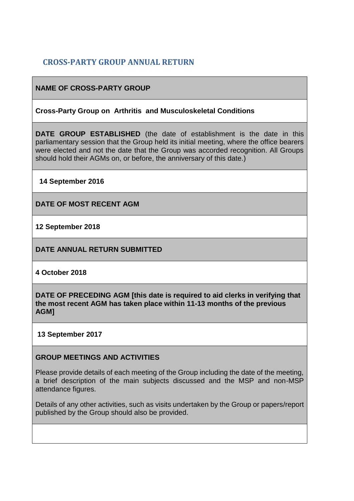# **CROSS-PARTY GROUP ANNUAL RETURN**

### **NAME OF CROSS-PARTY GROUP**

#### **Cross-Party Group on Arthritis and Musculoskeletal Conditions**

**DATE GROUP ESTABLISHED** (the date of establishment is the date in this parliamentary session that the Group held its initial meeting, where the office bearers were elected and not the date that the Group was accorded recognition. All Groups should hold their AGMs on, or before, the anniversary of this date.)

**14 September 2016**

**DATE OF MOST RECENT AGM**

**12 September 2018**

**DATE ANNUAL RETURN SUBMITTED**

**4 October 2018**

**DATE OF PRECEDING AGM [this date is required to aid clerks in verifying that the most recent AGM has taken place within 11-13 months of the previous AGM]**

**13 September 2017**

#### **GROUP MEETINGS AND ACTIVITIES**

Please provide details of each meeting of the Group including the date of the meeting, a brief description of the main subjects discussed and the MSP and non-MSP attendance figures.

Details of any other activities, such as visits undertaken by the Group or papers/report published by the Group should also be provided.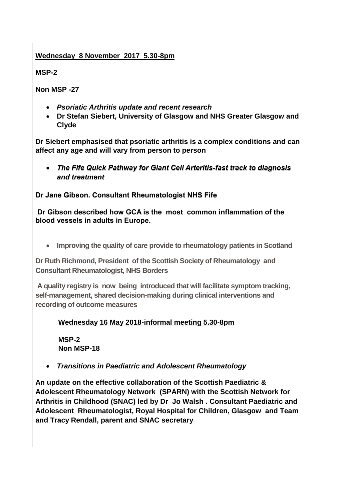### **Wednesday 8 November 2017 5.30-8pm**

**MSP-2**

**Non MSP -27** 

- *Psoriatic Arthritis update and recent research*
- **Dr Stefan Siebert, University of Glasgow and NHS Greater Glasgow and Clyde**

**Dr Siebert emphasised that psoriatic arthritis is a complex conditions and can affect any age and will vary from person to person**

• *The Fife Quick Pathway for Giant Cell Arteritis-fast track to diagnosis and treatment*

**Dr Jane Gibson. Consultant Rheumatologist NHS Fife**

**Dr Gibson described how GCA is the most common inflammation of the blood vessels in adults in Europe.**

• **Improving the quality of care provide to rheumatology patients in Scotland**

**Dr Ruth Richmond, President of the Scottish Society of Rheumatology and Consultant Rheumatologist, NHS Borders**

**A quality registry is now being introduced that will facilitate symptom tracking, self-management, shared decision-making during clinical interventions and recording of outcome measures**

## **Wednesday 16 May 2018-informal meeting 5.30-8pm**

**MSP-2 Non MSP-18**

• *Transitions in Paediatric and Adolescent Rheumatology*

**An update on the effective collaboration of the Scottish Paediatric & Adolescent Rheumatology Network (SPARN) with the Scottish Network for Arthritis in Childhood (SNAC) led by Dr Jo Walsh . Consultant Paediatric and Adolescent Rheumatologist, Royal Hospital for Children, Glasgow and Team and Tracy Rendall, parent and SNAC secretary**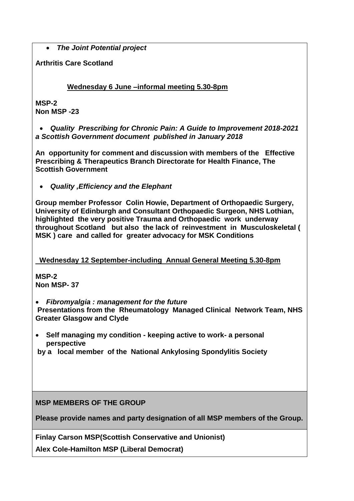• *The Joint Potential project*

**Arthritis Care Scotland**

 **Wednesday 6 June –informal meeting 5.30-8pm**

**MSP-2 Non MSP -23**

• *Quality Prescribing for Chronic Pain: A Guide to Improvement 2018-2021 a Scottish Government document published in January 2018*

**An opportunity for comment and discussion with members of the Effective Prescribing & Therapeutics Branch Directorate for Health Finance, The Scottish Government**

• *Quality ,Efficiency and the Elephant*

**Group member Professor Colin Howie, Department of Orthopaedic Surgery, University of Edinburgh and Consultant Orthopaedic Surgeon, NHS Lothian, highlighted the very positive Trauma and Orthopaedic work underway throughout Scotland but also the lack of reinvestment in Musculoskeletal ( MSK ) care and called for greater advocacy for MSK Conditions**

 **Wednesday 12 September-including Annual General Meeting 5.30-8pm**

**MSP-2 Non MSP- 37**

• *Fibromyalgia : management for the future* 

**Presentations from the Rheumatology Managed Clinical Network Team, NHS Greater Glasgow and Clyde**

• **Self managing my condition - keeping active to work- a personal perspective** 

**by a local member of the National Ankylosing Spondylitis Society**

### **MSP MEMBERS OF THE GROUP**

**Please provide names and party designation of all MSP members of the Group.** 

**Finlay Carson MSP(Scottish Conservative and Unionist)**

**Alex Cole-Hamilton MSP (Liberal Democrat)**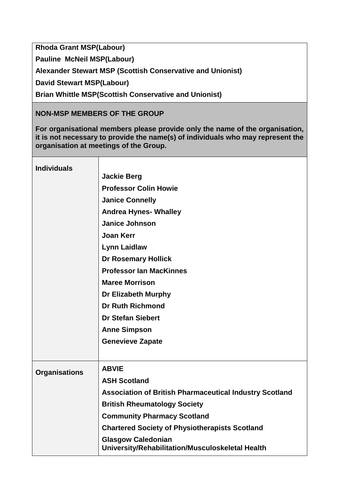**Rhoda Grant MSP(Labour)**

**Pauline McNeil MSP(Labour)**

**Alexander Stewart MSP (Scottish Conservative and Unionist)**

**David Stewart MSP(Labour)**

**Brian Whittle MSP(Scottish Conservative and Unionist)**

### **NON-MSP MEMBERS OF THE GROUP**

**For organisational members please provide only the name of the organisation, it is not necessary to provide the name(s) of individuals who may represent the organisation at meetings of the Group.**

| <b>Individuals</b>   |                                                                               |
|----------------------|-------------------------------------------------------------------------------|
|                      | <b>Jackie Berg</b>                                                            |
|                      | <b>Professor Colin Howie</b>                                                  |
|                      | <b>Janice Connelly</b>                                                        |
|                      | <b>Andrea Hynes- Whalley</b>                                                  |
|                      | <b>Janice Johnson</b>                                                         |
|                      | <b>Joan Kerr</b>                                                              |
|                      | <b>Lynn Laidlaw</b>                                                           |
|                      | <b>Dr Rosemary Hollick</b>                                                    |
|                      | <b>Professor Ian MacKinnes</b>                                                |
|                      | <b>Maree Morrison</b>                                                         |
|                      | Dr Elizabeth Murphy                                                           |
|                      | <b>Dr Ruth Richmond</b>                                                       |
|                      | <b>Dr Stefan Siebert</b>                                                      |
|                      | <b>Anne Simpson</b>                                                           |
|                      | <b>Genevieve Zapate</b>                                                       |
|                      |                                                                               |
| <b>Organisations</b> | <b>ABVIE</b>                                                                  |
|                      | <b>ASH Scotland</b>                                                           |
|                      | <b>Association of British Pharmaceutical Industry Scotland</b>                |
|                      | <b>British Rheumatology Society</b>                                           |
|                      | <b>Community Pharmacy Scotland</b>                                            |
|                      | <b>Chartered Society of Physiotherapists Scotland</b>                         |
|                      | <b>Glasgow Caledonian</b><br>University/Rehabilitation/Musculoskeletal Health |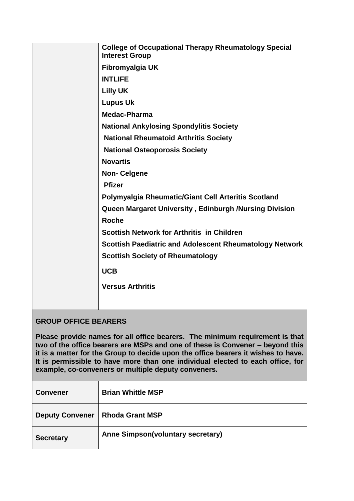| <b>College of Occupational Therapy Rheumatology Special</b><br><b>Interest Group</b> |
|--------------------------------------------------------------------------------------|
| Fibromyalgia UK                                                                      |
| <b>INTLIFE</b>                                                                       |
| <b>Lilly UK</b>                                                                      |
| <b>Lupus Uk</b>                                                                      |
| Medac-Pharma                                                                         |
| <b>National Ankylosing Spondylitis Society</b>                                       |
| <b>National Rheumatoid Arthritis Society</b>                                         |
| <b>National Osteoporosis Society</b>                                                 |
| <b>Novartis</b>                                                                      |
| <b>Non-Celgene</b>                                                                   |
| <b>Pfizer</b>                                                                        |
| Polymyalgia Rheumatic/Giant Cell Arteritis Scotland                                  |
| Queen Margaret University, Edinburgh /Nursing Division                               |
| <b>Roche</b>                                                                         |
| <b>Scottish Network for Arthritis in Children</b>                                    |
| <b>Scottish Paediatric and Adolescent Rheumatology Network</b>                       |
| <b>Scottish Society of Rheumatology</b>                                              |
| <b>UCB</b>                                                                           |
| <b>Versus Arthritis</b>                                                              |
|                                                                                      |
|                                                                                      |

## **GROUP OFFICE BEARERS**

**Please provide names for all office bearers. The minimum requirement is that two of the office bearers are MSPs and one of these is Convener – beyond this it is a matter for the Group to decide upon the office bearers it wishes to have. It is permissible to have more than one individual elected to each office, for example, co-conveners or multiple deputy conveners.**

| <b>Convener</b>        | <b>Brian Whittle MSP</b>          |
|------------------------|-----------------------------------|
| <b>Deputy Convener</b> | <b>Rhoda Grant MSP</b>            |
| <b>Secretary</b>       | Anne Simpson(voluntary secretary) |